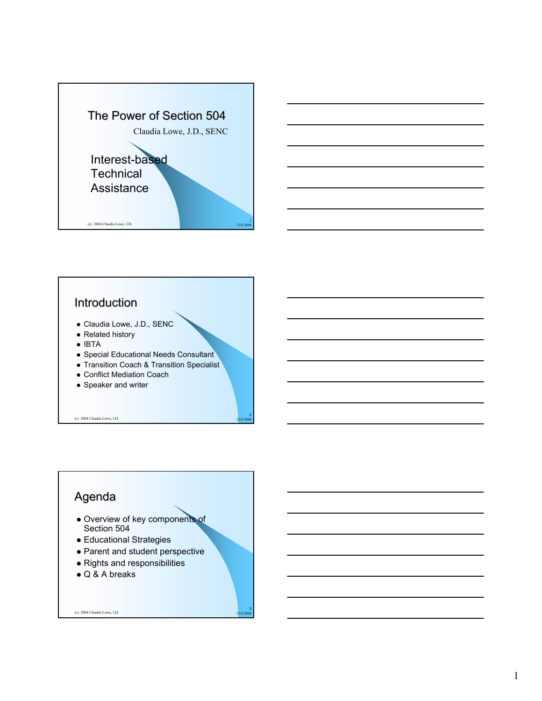



#### **Introduction**

- Claudia Lowe, J.D., SENC
- $\bullet$  Related history
- $\bullet$  IBTA
- Special Educational Needs Consultant
- Transition Coach & Transition Specialist

2

3

- Conflict Mediation Coach
- Speaker and writer

(c) 2004 Claudia Lowe, J.D. 12/6/2006

#### Agenda

- Overview of key components of Section 504
- Educational Strategies
- Parent and student perspective
- Rights and responsibilities
- $\bullet$  Q & A breaks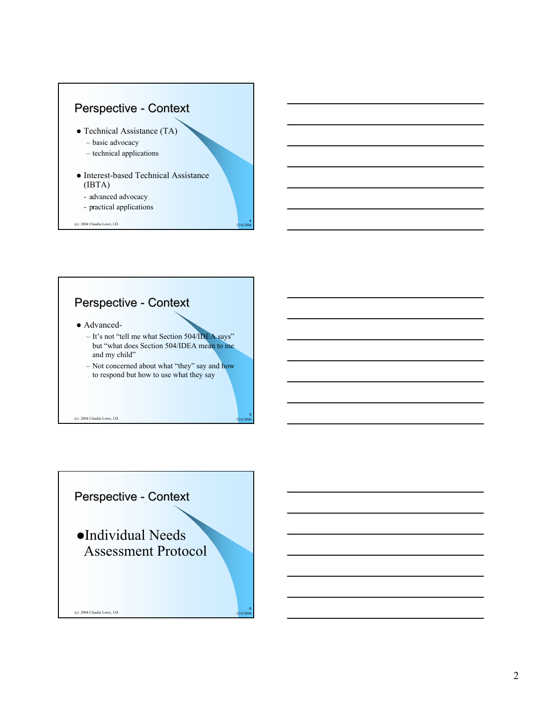

- Technical Assistance (TA)
	- basic advocacy
	- technical applications
- Interest-based Technical Assistance (IBTA)
	- advanced advocacy
	- practical applications

(c) 2004 Claudia Lowe, J.D. 12/6/2006

# Perspective - Context

- Advanced-
	- It's not "tell me what Section 504/IDEA says" but "what does Section 504/IDEA mean to me and my child"

4

5

– Not concerned about what "they" say and how to respond but how to use what they say

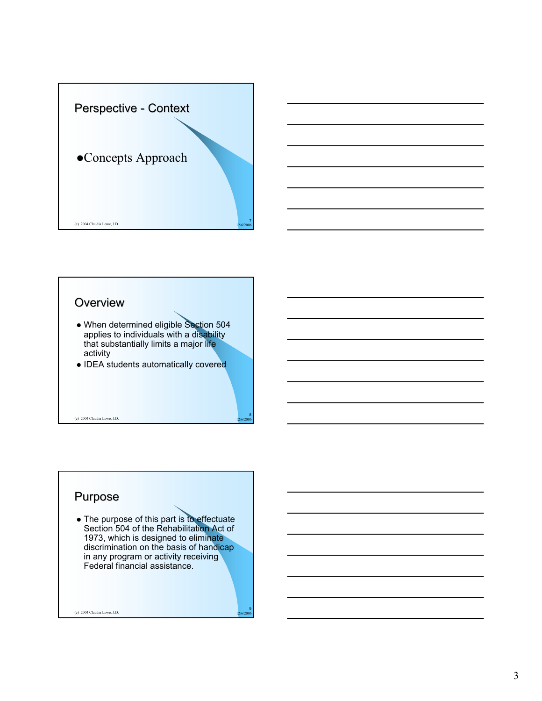





(c) 2004 Claudia Lowe, J.D. 12/6/2006 12:00:00 12/6/2006 12:00:00 12/6/2006 12:00:00 12:00:00 12:00:00 12:00:00 12:00:00 12:00:00 12:00:00 12:00:00 12:00:00 12:00:00 12:00:00 12:00:00 12:00:00 12:00:00 12:00:00 12:00:00 12

8

9

#### Purpose

• The purpose of this part is to effectuate Section 504 of the Rehabilitation Act of 1973, which is designed to eliminate discrimination on the basis of handicap in any program or activity receiving Federal financial assistance.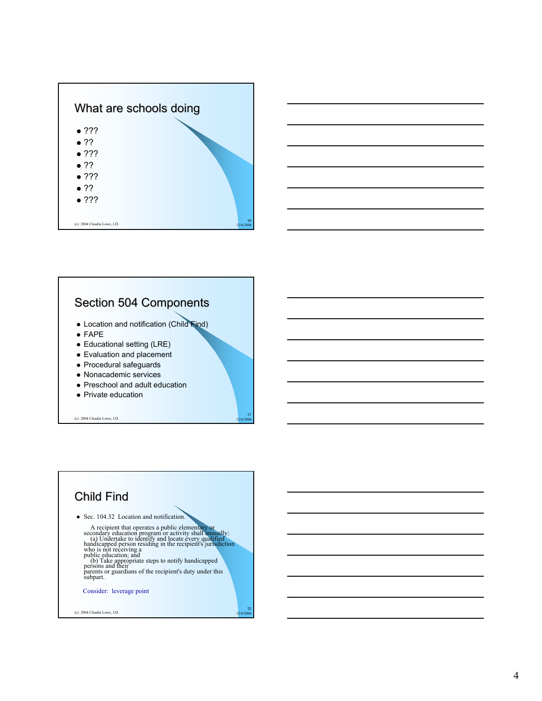



#### Section 504 Components

- Location and notification (Child Find)
- $\bullet$  FAPE
- Educational setting (LRE)
- Evaluation and placement
- Procedural safeguards
- Nonacademic services
- Preschool and adult education
- Private education

(c) 2004 Claudia Lowe, J.D. 12/6/2006



11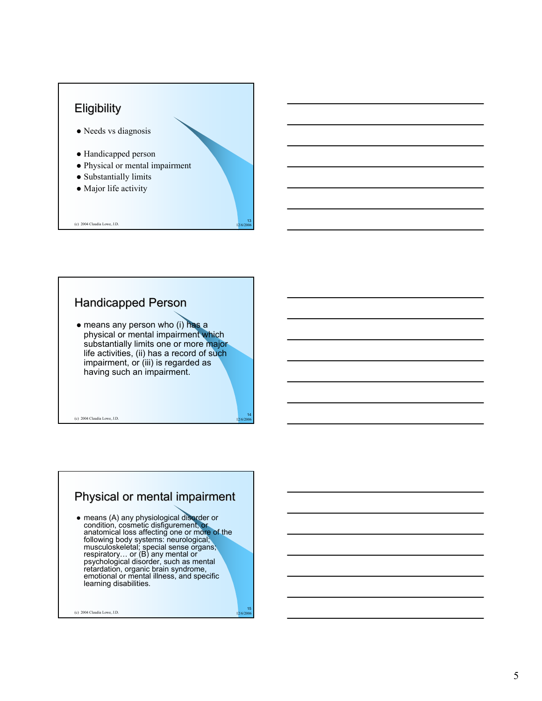#### **Eligibility**

- Needs vs diagnosis
- Handicapped person
- Physical or mental impairment
- Substantially limits
- Major life activity

(c) 2004 Claudia Lowe, J.D. 12/6/2006

#### Handicapped Person

 $\bullet$  means any person who (i) has a physical or mental impairment which substantially limits one or more major life activities, (ii) has a record of such impairment, or (iii) is regarded as having such an impairment.

(c) 2004 Claudia Lowe, J.D.

## Physical or mental impairment

• means (A) any physiological disorder or condition, cosmetic disfigurement, or anatomical loss affecting one or more of the following body systems: neurological; musculoskeletal; special sense organs; respiratory… or (B) any mental or psychological disorder, such as mental retardation, organic brain syndrome, emotional or mental illness, and specific learning disabilities.

(c) 2004 Claudia Lowe, J.D. 12/6/2006 12:00:00 12:00:00 12:00:00 12:00:00 12:00:00 12:00:00 12:00:00 12:00:00 12:00:00 12:00:00 12:00:00 12:00:00 12:00:00 12:00:00 12:00:00 12:00:00 12:00:00 12:00:00 12:00:00 12:00:00 12:0

13

14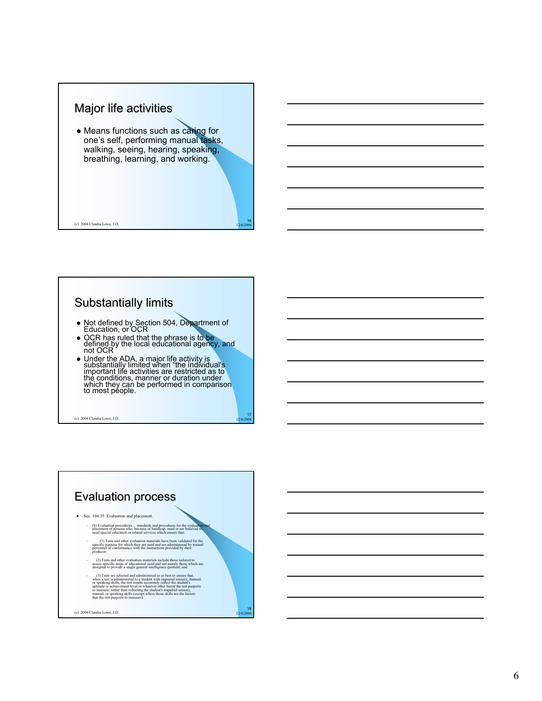#### Major life activities

• Means functions such as caring for one's self, performing manual tasks, walking, seeing, hearing, speaking, breathing, learning, and working.

16

17

(c) 2004 Claudia Lowe, J.D. 12/6/2006

#### Substantially limits

- Not defined by Section 504, Department of Education, or OCR
- OCR has ruled that the phrase is to be<br>defined by the local educational agency, and not OCR
- Under the ADA, a major life activity is<br>substantially limited when "the individual's<br>important life activities are restricted as to<br>the conditions, manner or duration under which they can be performed in comparison<br>to most people.

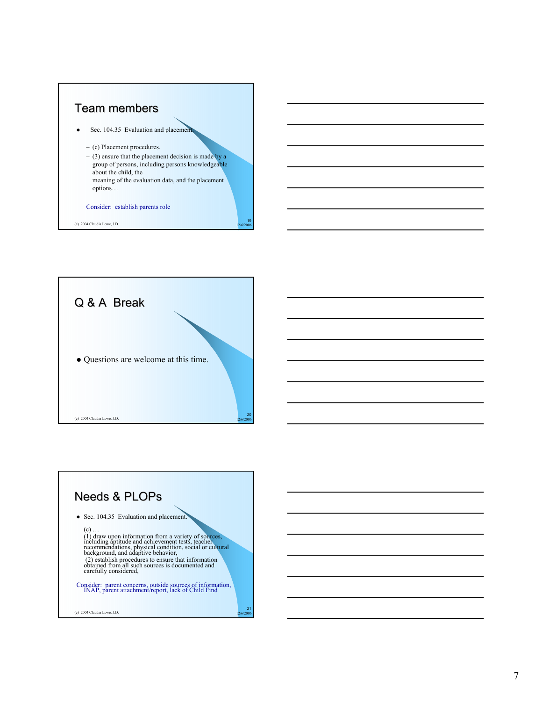#### Team members

Sec. 104.35 Evaluation and placement.

- (c) Placement procedures.
- $-$  (3) ensure that the placement decision is made by a group of persons, including persons knowledgeable about the child, the meaning of the evaluation data, and the placement options…

<sub>10</sub>

#### Consider: establish parents role



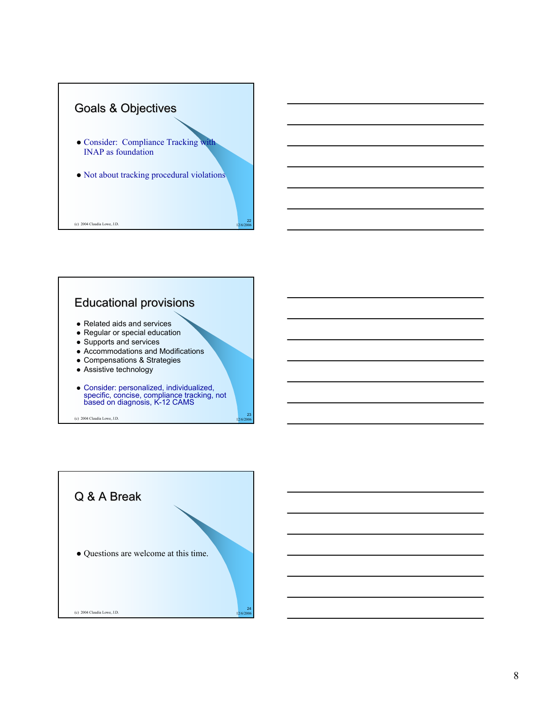



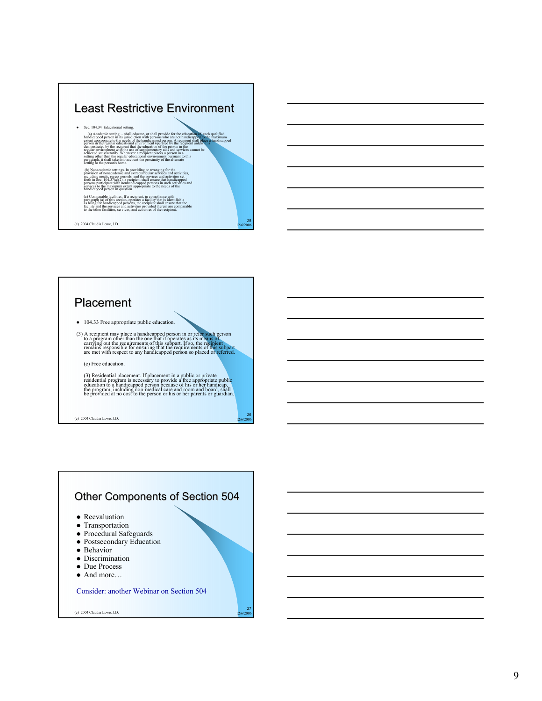# Least Restrictive Environment • Sec. 104.34 Educational setting. (a) Academic setting,... shall educate, or shall provide for the education of each polarities of the maximum handicapped person in its jurisdiction with persons who are not handicapped person in its jurisdiction with pers (b) Nonacademic settings. In providing or arranging for the<br>provision of nonacademic and extracurricular services and activities,<br>including meals, regess periods, and the services and activities services<br>forth in Sec. (04 (c) Comparable facilities, If a recipient, in compliance with<br>paragraph (a) of this section, operates a facility that is identifiable<br>as being for handicapped persons, the recipient shall ensure that the<br>facility and the s

 $25$ 

26

27

(c) 2004 Claudia Lowe, J.D. 12/6/2006

#### **Placement**

 $\bullet$  104.33 Free appropriate public education.

(3) A recipient may place a handicapped person in or refer such person<br>to a program other than the one that it operates as its means of<br>carrying out the requirements of this subpart. If so, the recipient<br>remains responsib

(c) Free education.

(3) Residential placement. If placement in a public or private<br>residential program is necessary to provide a free appropriate public<br>education to a handicapped person because of his or her handicap,<br>the program, including

(c) 2004 Claudia Lowe, J.D. 12/6/2006

## Other Components of Section 504

- Reevaluation
- Transportation
- $\bullet$  Procedural Safeguards
- Postsecondary Education
- Behavior
- Discrimination
- Due Process
- And more…

Consider: another Webinar on Section 504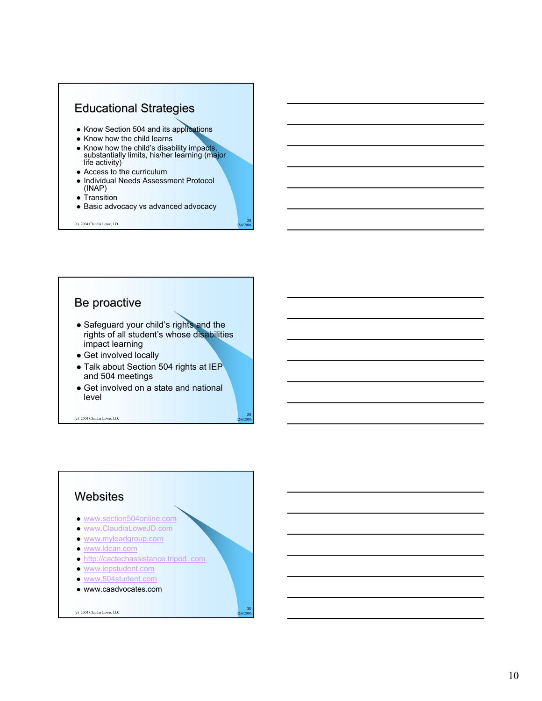



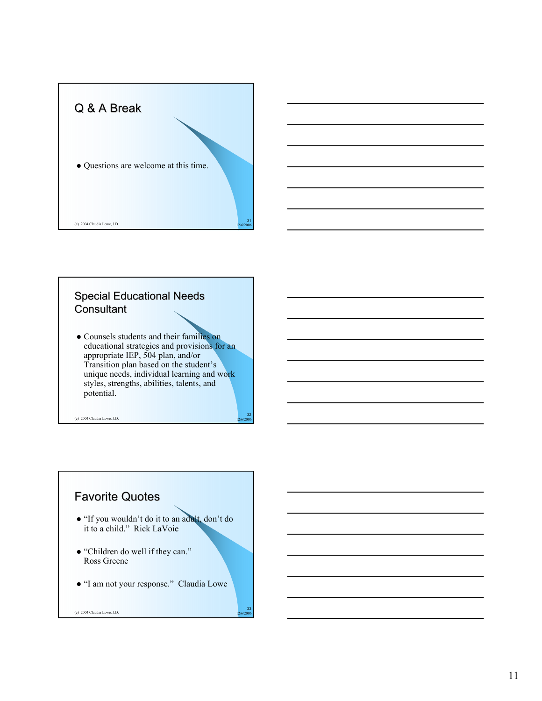



```
• Counsels students and their families on
educational strategies and provisions for an 
appropriate IEP, 504 plan, and/or 
Transition plan based on the student's 
unique needs, individual learning and work 
styles, strengths, abilities, talents, and 
potential.
```
32

33

(c) 2004 Claudia Lowe, J.D. 12/6/2006

# **Favorite Quotes**

- z "If you wouldn't do it to an adult, don't do it to a child." Rick LaVoie
- "Children do well if they can." Ross Greene
- $\bullet$  "I am not your response." Claudia Lowe